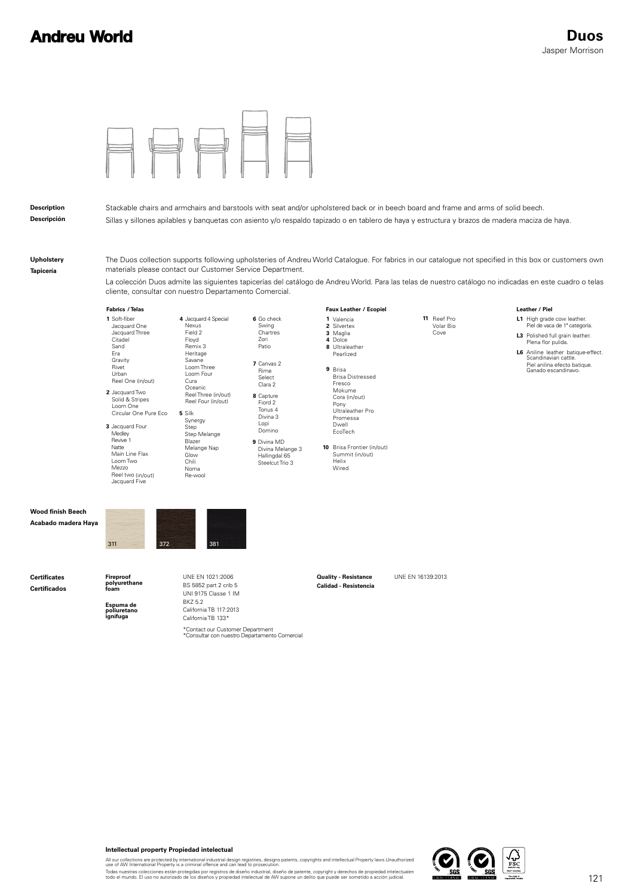

**Intellectual property Propiedad intelectual**

All our collections are protected by international industrial design registries, designs patents, copyrights and intellectual Property laws.Unauthorized<br>use of AW International Property is a criminal offence and can lead t

Todas nuestras colecciones están protegidas por registros de diseño industrial, diseño de patente, copyright y derechos de propiedad intelectualen<br>todo el mundo. El uso no autorizado de los diseños y propiedad intelectual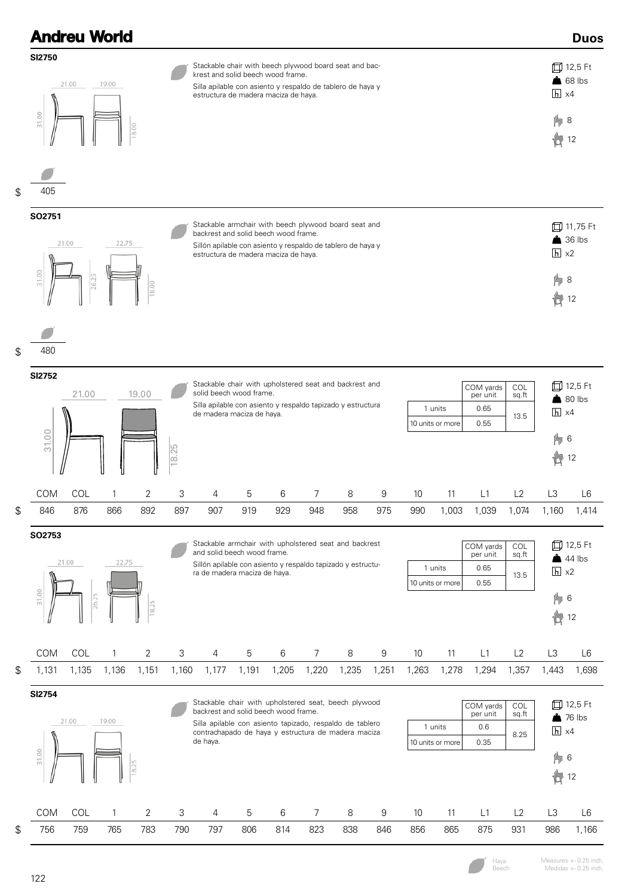|    | <b>Andreu World</b>                                 |                |              |       |                                                                                                                                                                                                     |                                                                                                                                                                                                                                                                                                                            |       |       |                |       |       |       |       |              |       |                   | <b>Duos</b>                                 |
|----|-----------------------------------------------------|----------------|--------------|-------|-----------------------------------------------------------------------------------------------------------------------------------------------------------------------------------------------------|----------------------------------------------------------------------------------------------------------------------------------------------------------------------------------------------------------------------------------------------------------------------------------------------------------------------------|-------|-------|----------------|-------|-------|-------|-------|--------------|-------|-------------------|---------------------------------------------|
|    | SI2750<br>31.00                                     | 21.00<br>19.00 |              |       |                                                                                                                                                                                                     | Stackable chair with beech plywood board seat and bac-<br>krest and solid beech wood frame.<br>Silla apilable con asiento y respaldo de tablero de haya y<br>estructura de madera maciza de haya.                                                                                                                          |       |       |                |       |       |       |       |              |       |                   | 口 12,5 Ft<br>$68$ lbs<br>$h \times 4$<br>片8 |
| \$ | 405                                                 |                |              | 8.00  |                                                                                                                                                                                                     |                                                                                                                                                                                                                                                                                                                            |       |       |                |       |       |       |       |              |       | 廿                 | 12                                          |
|    | SO2751                                              | 21.00          | 22.75        |       | Stackable armchair with beech plywood board seat and<br>backrest and solid beech wood frame.<br>Sillón apilable con asiento y respaldo de tablero de haya y<br>estructura de madera maciza de haya. |                                                                                                                                                                                                                                                                                                                            |       |       |                |       |       |       |       |              |       | $h \times 2$      | 口 11,75 Ft<br>$\triangle$ 36 lbs            |
|    | 31.00                                               | 26.25          |              | 8.00  |                                                                                                                                                                                                     |                                                                                                                                                                                                                                                                                                                            |       |       |                |       |       |       |       |              |       | 片8<br><b>齿</b>    | 12                                          |
| \$ | 480                                                 |                |              |       |                                                                                                                                                                                                     |                                                                                                                                                                                                                                                                                                                            |       |       |                |       |       |       |       |              |       |                   |                                             |
|    | SI2752<br>21.00<br>19.00<br>31.00                   |                |              |       |                                                                                                                                                                                                     | Stackable chair with upholstered seat and backrest and<br>COL<br>COM yards<br>solid beech wood frame.<br>sq.ft<br>per unit<br>Silla apilable con asiento y respaldo tapizado y estructura<br>1 units<br>0.65<br>de madera maciza de haya.                                                                                  |       |       |                |       |       |       |       |              | 13.5  | $\overline{h}$ x4 | 口 12,5 Ft<br>$80$ lbs                       |
|    |                                                     |                |              |       | 18.25                                                                                                                                                                                               | 0.55<br>10 units or more                                                                                                                                                                                                                                                                                                   |       |       |                |       |       |       |       |              |       |                   | 6<br>卣<br>12                                |
|    | COM                                                 | COL            | 1            | 2     | 3                                                                                                                                                                                                   | 4                                                                                                                                                                                                                                                                                                                          | 5     | 6     | 7              | 8     | 9     | 10    | 11    | L1           | L2    | L3                | L <sub>6</sub>                              |
| \$ | 846                                                 | 876            | 866          | 892   | 897                                                                                                                                                                                                 | 907                                                                                                                                                                                                                                                                                                                        | 919   | 929   | 948            | 958   | 975   | 990   | 1,003 | 1,039        | 1,074 | 1,160             | 1,414                                       |
|    | SO2753<br>21.00<br>22.75<br>31.00<br>26.25<br>18.25 |                |              |       |                                                                                                                                                                                                     | Stackable armchair with upholstered seat and backrest<br>COM yards<br>COL<br>and solid beech wood frame.<br>per unit<br>sq.ft<br>Sillón apilable con asiento y respaldo tapizado y estructu-<br>1 units<br>0.65<br>ra de madera maciza de haya.<br>13.5<br>10 units or more<br>0.55                                        |       |       |                |       |       |       |       |              |       |                   |                                             |
|    |                                                     |                |              |       |                                                                                                                                                                                                     |                                                                                                                                                                                                                                                                                                                            |       |       |                |       |       |       |       |              |       | 卣                 | 12                                          |
|    | COM                                                 | COL            | $\mathbf{1}$ | 2     | 3                                                                                                                                                                                                   | 4                                                                                                                                                                                                                                                                                                                          | 5     | 6     | $\overline{7}$ | 8     | $\,9$ | 10    | 11    | L1           | L2    | L3                | L6                                          |
| \$ | 1,131                                               | 1,135          | 1,136        | 1,151 | 1,160                                                                                                                                                                                               | 1,177                                                                                                                                                                                                                                                                                                                      | 1,191 | 1,205 | 1,220          | 1,235 | 1,251 | 1,263 | 1,278 | 1,294        | 1,357 | 1,443             | 1,698                                       |
|    | <b>SI2754</b>                                       | 21.00<br>19.00 |              |       |                                                                                                                                                                                                     | Stackable chair with upholstered seat, beech plywood<br>COM yards<br>COL<br>backrest and solid beech wood frame.<br>per unit<br>sq.ft<br>Silla apilable con asiento tapizado, respaldo de tablero<br>1 units<br>0.6<br>contrachapado de haya y estructura de madera maciza<br>8.25<br>de haya.<br>10 units or more<br>0.35 |       |       |                |       |       |       |       |              |       |                   |                                             |
|    | 31.00<br>8.25                                       |                |              |       |                                                                                                                                                                                                     |                                                                                                                                                                                                                                                                                                                            |       |       |                |       |       |       |       | 6<br>卣<br>12 |       |                   |                                             |
|    | COM                                                 | COL            | 1            | 2     | 3                                                                                                                                                                                                   | 4                                                                                                                                                                                                                                                                                                                          | 5     | 6     | $\overline{7}$ | 8     | 9     | 10    | 11    | L1           | L2    | L3                | L6                                          |
| \$ | 756                                                 | 759            | 765          | 783   | 790                                                                                                                                                                                                 | 797                                                                                                                                                                                                                                                                                                                        | 806   | 814   | 823            | 838   | 846   | 856   | 865   | 875          | 931   | 986               | 1,166                                       |

 $\overline{\phantom{a}}$ Haya Beech

Measures +- 0.25 inch. Medidas +- 0.25 inch.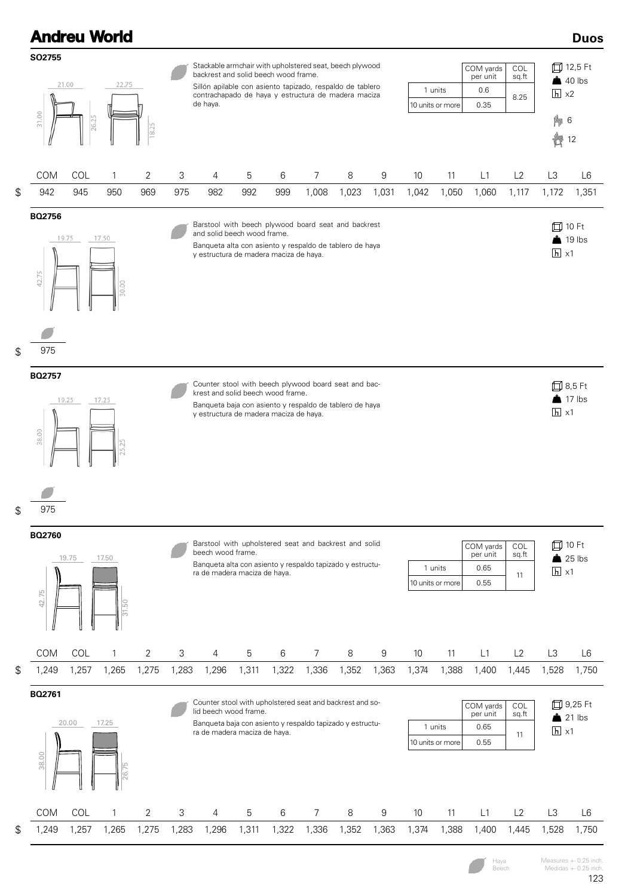

Haya Beech Measures +- 0.25 inch. Medidas  $+-0.25$  inch.

123